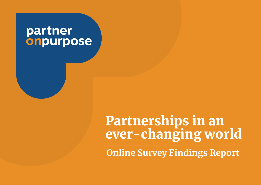# partner onpurpose

# Partnerships in an ever-changing world

**Online Survey Findings Report**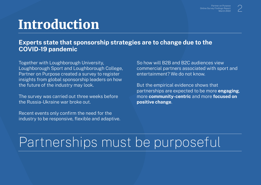# Introduction

#### **Experts state that sponsorship strategies are to change due to the COVID-19 pandemic**

Together with Loughborough University, Loughborough Sport and Loughborough College, Partner on Purpose created a survey to register insights from global sponsorship leaders on how the future of the industry may look.

The survey was carried out three weeks before the Russia-Ukraine war broke out.

Recent events only confirm the need for the industry to be responsive, flexible and adaptive. So how will B2B and B2C audiences view commercial partners associated with sport and entertainment? We do not know.

But the empirical evidence shows that partnerships are expected to be more **engaging**, more **community-centric** and more **focused on positive change**.

# Partnerships must be purposeful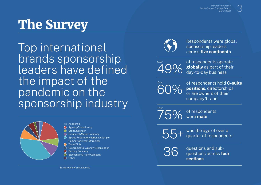# The Survey

Top international (V) sponsorship leaders brands sponsorship leaders have defined the impact of the pandemic on the sponsorship industry



Academia Agency/Consultancy  $\bigcap$ 

- Brand/Sponsor
- $\bigcap$ Broadcast/Media Company
- Sports Federation/National Olympic Committee/Event Organiser
- ◯ Team/Club
- Governmental Agency/Organisation
- O Betting Company
- $\bigcap$ Blockchain/Crypto Company
- $\bigcirc$ **Other**



Respondents were global



of respondents operate **globally** as part of their day-to-day business

60% **Over** 

Over

of respondents hold **C-suite positions**, directorships or are owners of their company/brand

75% of respondents were **male**

55+ was the age of over a quarter of respondents



questions and subquestions across **four sections**

*Background of respondents*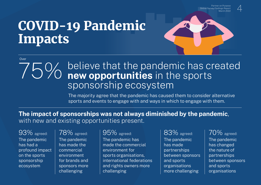Partner on Purpose Online Survey Findings Report March 202



# COVID-19 Pandemic Impacts

#### Over

## believe that the pandemic has created **new opportunities** in the sports sponsorship ecosystem

The majority agree that the pandemic has caused them to consider alternative sports and events to engage with and ways in which to engage with them.

#### **The impact of sponsorships was not always diminished by the pandemic**, with new and existing opportunities present.

The pandemic has had a profound impact on the sports sponsorship ecosystem

The pandemic has made the commercial environment for brands and sponsors more challenging

The pandemic has made the commercial environment for sports organisations, international federations and rights owners more challenging  $93\%$  agreed:  $\sqrt{78\%}$  agreed:  $\sqrt{95\%}$  agreed:  $\sqrt{83\%}$  agreed:  $\sqrt{70\%}$  agreed:

The pandemic has made partnerships between sponsors and sports organisations more challenging

The pandemic has changed the nature of partnerships between sponsors and sports organisations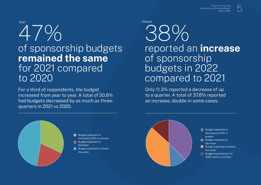

## of sponsorship budgets **remained the same** for 2021 compared to 2020

For a third of respondents, the budget increased from year to year. A total of 20.8% had budgets decreased by as much as threequarters in 2021 vs 2020.

# reported an **increase** of sponsorship budgets in 2022 compared to 2021 38%

Only 11.3% reported a decrease of up to a quarter. A total of 37.8% reported an increase, double in some cases.



#### Budget expected to increase by 25% or greater Budget expected to

decrease

 $\bigcirc$  Burget expected to remain the same

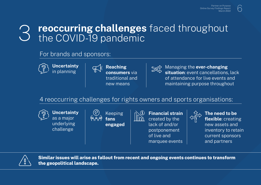## **reoccurring challenges** faced throughout the COVID-19 pandemic

For brands and sponsors:







Managing the **ever-changing situation**: event cancellations, lack of attendance for live events and maintaining purpose throughout

4 reoccurring challenges for rights owners and sports organisations:

challenge

**Uncertainty**  as a major underlying

Keeping **fans engaged** 



**Financial strain** created by the lack of and/or postponement of live and marquee events



**The need to be flexible**: creating new assets and inventory to retain current sponsors and partners



**Similar issues will arise as fallout from recent and ongoing events continues to transform the geopolitical landscape.**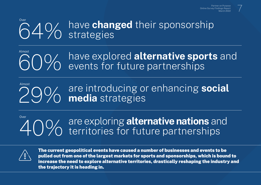#### 64% have **changed** their sponsorship strategies Over

#### **60%** have explored **alternative sports** and **60%** events for future partnerships events for future partnerships Almost

#### are introducing or enhancing **social media** strategies 29% Almost

#### are exploring **alternative nations** and territories for future partnerships over 10%



The current geopolitical events have caused a number of businesses and events to be pulled out from one of the largest markets for sports and sponsorships, which is bound to increase the need to explore alternative territories, drastically reshaping the industry and the trajectory it is heading in.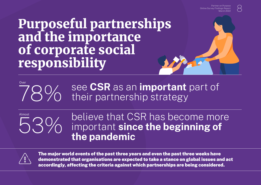# Purposeful partnerships and the importance of corporate social responsibility

#### 78% see **CSR** as an **important** part of their partnership strategy Over

# Almost

believe that CSR has become more important **since the beginning of 53%** believe that G.<br> **the pandemic** 



The major world events of the past three years and even the past three weeks have demonstrated that organisations are expected to take a stance on global issues and act accordingly, affecting the criteria against which partnerships are being considered.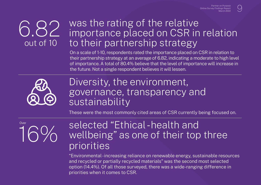#### 6.82 out of 10 was the rating of the relative importance placed on CSR in relation to their partnership strategy

On a scale of 1-10, respondents rated the importance placed on CSR in relation to their partnership strategy at an average of 6.82, indicating a moderate to high level of importance. A total of 80.4% believe that the level of importance will increase in the future. Not a single respondent believes it will lessen.



## Diversity, the environment, governance, transparency and sustainability

These were the most commonly cited areas of CSR currently being focused on.



## selected "Ethical - health and wellbeing" as one of their top three priorities

"Environmental - increasing reliance on renewable energy, sustainable resources and recycled or partially recycled materials" was the second most selected option (14.4%). Of all those surveyed, there was a wide-ranging difference in priorities when it comes to CSR.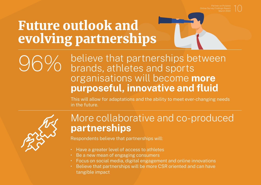# Future outlook and evolving partnerships

## believe that partnerships between brands, athletes and sports organisations will become **more purposeful, innovative and fluid**

This will allow for adaptations and the ability to meet ever-changing needs in the future.



## More collaborative and co-produced **partnerships**

Respondents believe that partnerships will:

- Have a greater level of access to athletes
- Be a new mean of engaging consumers
- Focus on social media, digital engagement and online innovations
- Believe that partnerships will be more CSR oriented and can have tangible impact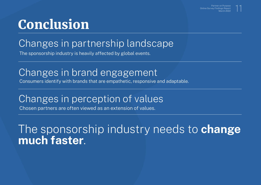# Conclusion

# Changes in partnership landscape

The sponsorship industry is heavily affected by global events.

## Changes in brand engagement

Consumers identify with brands that are empathetic, responsive and adaptable.

## Changes in perception of values

Chosen partners are often viewed as an extension of values.

# The sponsorship industry needs to **change much faster**.